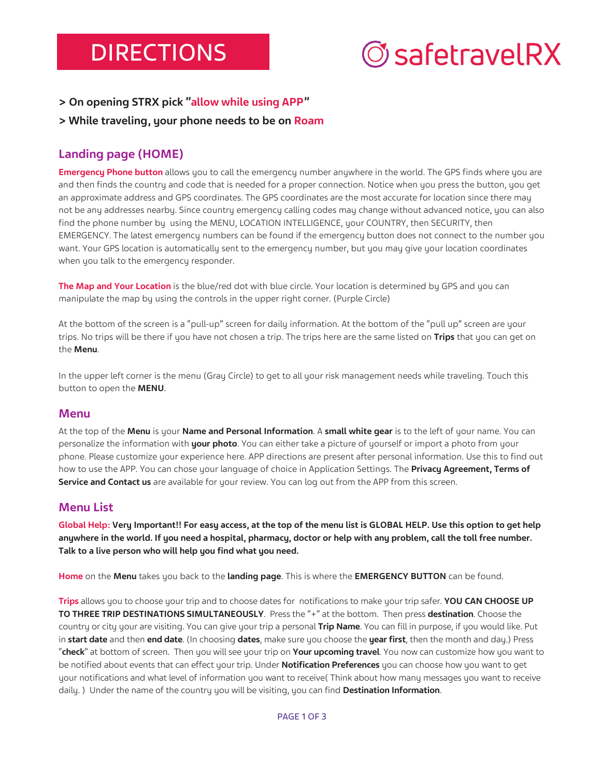### **DIRECTIONS**

# *©safetravelRX*

**> On opening STRX pick "allow while using APP"**

#### **> While traveling, your phone needs to be on Roam**

#### **Landing page (HOME)**

**Emergency Phone button** allows you to call the emergency number anywhere in the world. The GPS finds where you are and then finds the country and code that is needed for a proper connection. Notice when you press the button, you get an approximate address and GPS coordinates. The GPS coordinates are the most accurate for location since there may not be any addresses nearby. Since country emergency calling codes may change without advanced notice, you can also find the phone number by using the MENU, LOCATION INTELLIGENCE, your COUNTRY, then SECURITY, then EMERGENCY. The latest emergency numbers can be found if the emergency button does not connect to the number you want. Your GPS location is automatically sent to the emergency number, but you may give your location coordinates when you talk to the emergency responder.

**The Map and Your Location** is the blue/red dot with blue circle. Your location is determined by GPS and you can manipulate the map by using the controls in the upper right corner. (Purple Circle)

At the bottom of the screen is a "pull-up" screen for daily information. At the bottom of the "pull up" screen are your trips. No trips will be there if you have not chosen a trip. The trips here are the same listed on **Trips** that you can get on the **Menu**.

In the upper left corner is the menu (Gray Circle) to get to all your risk management needs while traveling. Touch this button to open the **MENU**.

#### **Menu**

At the top of the **Menu** is your **Name and Personal Information**. A **small white gear** is to the left of your name. You can personalize the information with **your photo**. You can either take a picture of yourself or import a photo from your phone. Please customize your experience here. APP directions are present after personal information. Use this to find out how to use the APP. You can chose your language of choice in Application Settings. The **Privacy Agreement, Terms of Service and Contact us** are available for your review. You can log out from the APP from this screen.

#### **Menu List**

**Global Help: Very Important!! For easy access, at the top of the menu list is GLOBAL HELP. Use this option to get help anywhere in the world. If you need a hospital, pharmacy, doctor or help with any problem, call the toll free number. Talk to a live person who will help you find what you need.**

**Home** on the **Menu** takes you back to the **landing page**. This is where the **EMERGENCY BUTTON** can be found.

**Trips** allows you to choose your trip and to choose dates for notifications to make your trip safer. **YOU CAN CHOOSE UP TO THREE TRIP DESTINATIONS SIMULTANEOUSLY**. Press the "+" at the bottom. Then press **destination**. Choose the country or city your are visiting. You can give your trip a personal **Trip Name**. You can fill in purpose, if you would like. Put in **start date** and then **end date**. (In choosing **dates**, make sure you choose the **year first**, then the month and day.) Press "**check**" at bottom of screen. Then you will see your trip on **Your upcoming travel**. You now can customize how you want to be notified about events that can effect your trip. Under **Notification Preferences** you can choose how you want to get your notifications and what level of information you want to receive( Think about how many messages you want to receive daily. ) Under the name of the country you will be visiting, you can find **Destination Information**.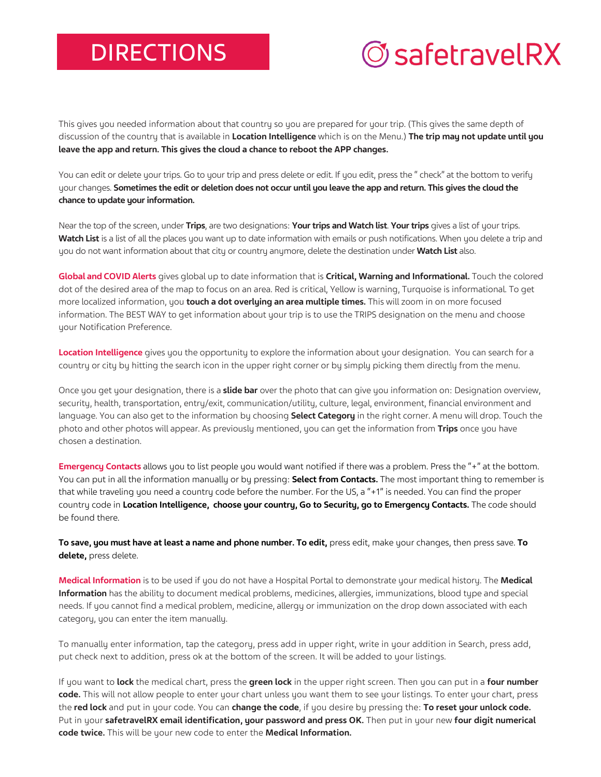### **DIRECTIONS**

# *©safetravelRX*

This gives you needed information about that country so you are prepared for your trip. (This gives the same depth of discussion of the country that is available in **Location Intelligence** which is on the Menu.) **The trip may not update until you leave the app and return. This gives the cloud a chance to reboot the APP changes.**

You can edit or delete your trips. Go to your trip and press delete or edit. If you edit, press the " check" at the bottom to verify your changes. Sometimes the edit or deletion does not occur until you leave the app and return. This gives the cloud the **chance to update your information.**

Near the top of the screen, under **Trips**, are two designations: **Your trips and Watch list**. **Your trips** gives a list of your trips. **Watch List** is a list of all the places you want up to date information with emails or push notifications. When you delete a trip and you do not want information about that city or country anymore, delete the destination under **Watch List** also.

**Global and COVID Alerts** gives global up to date information that is **Critical, Warning and Informational.** Touch the colored dot of the desired area of the map to focus on an area. Red is critical, Yellow is warning, Turquoise is informational. To get more localized information, you **touch a dot overlying an area multiple times.** This will zoom in on more focused information. The BEST WAY to get information about your trip is to use the TRIPS designation on the menu and choose your Notification Preference.

**Location Intelligence** gives you the opportunity to explore the information about your designation. You can search for a country or city by hitting the search icon in the upper right corner or by simply picking them directly from the menu.

Once you get your designation, there is a **slide bar** over the photo that can give you information on: Designation overview, security, health, transportation, entry/exit, communication/utility, culture, legal, environment, financial environment and language. You can also get to the information by choosing **Select Category** in the right corner. A menu will drop. Touch the photo and other photos will appear. As previously mentioned, you can get the information from **Trips** once you have chosen a destination.

**Emergency Contacts** allows you to list people you would want notified if there was a problem. Press the "+" at the bottom. You can put in all the information manually or by pressing: **Select from Contacts.** The most important thing to remember is that while traveling you need a country code before the number. For the US, a "+1" is needed. You can find the proper country code in **Location Intelligence, choose your country, Go to Security, go to Emergency Contacts.** The code should be found there.

**To save, you must have at least a name and phone number. To edit,** press edit, make your changes, then press save. **To delete,** press delete.

**Medical Information** is to be used if you do not have a Hospital Portal to demonstrate your medical history. The **Medical Information** has the ability to document medical problems, medicines, allergies, immunizations, blood type and special needs. If you cannot find a medical problem, medicine, allergy or immunization on the drop down associated with each category, you can enter the item manually.

To manually enter information, tap the category, press add in upper right, write in your addition in Search, press add, put check next to addition, press ok at the bottom of the screen. It will be added to your listings.

If you want to **lock** the medical chart, press the **green lock** in the upper right screen. Then you can put in a **four number code.** This will not allow people to enter your chart unless you want them to see your listings. To enter your chart, press the **red lock** and put in your code. You can **change the code**, if you desire by pressing the: **To reset your unlock code.** Put in your **safetravelRX email identification, your password and press OK.** Then put in your new **four digit numerical code twice.** This will be your new code to enter the **Medical Information.**